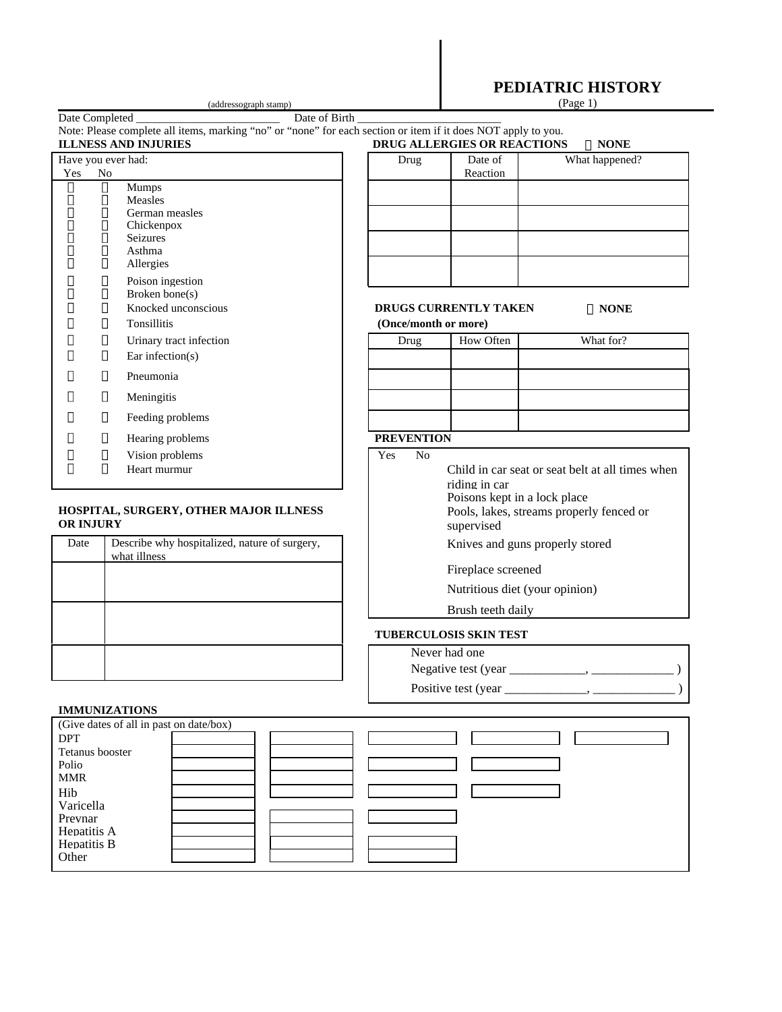|                                                            |                                                                                              | (addressograph stamp)                                                                                                                                   |                              |                                                        | PEDIATRIC HISTORY<br>(Page 1)                    |  |
|------------------------------------------------------------|----------------------------------------------------------------------------------------------|---------------------------------------------------------------------------------------------------------------------------------------------------------|------------------------------|--------------------------------------------------------|--------------------------------------------------|--|
| Date Completed                                             |                                                                                              | Date of Birth                                                                                                                                           |                              |                                                        |                                                  |  |
|                                                            |                                                                                              | Note: Please complete all items, marking "no" or "none" for each section or item if it does NOT apply to you.<br><b>ILLNESS AND INJURIES</b>            |                              | DRUG ALLERGIES OR REACTIONS                            | $\Box$ NONE                                      |  |
| Have you ever had:<br>Yes                                  | No                                                                                           |                                                                                                                                                         | Drug                         | Date of<br>Reaction                                    | What happened?                                   |  |
| Δ<br>$\Box$<br>$\Box$<br>Ω<br>▯<br>$\Box$<br>▯             | $\overline{\Box}$<br>$\Box$<br>▯<br>$\Box$<br>$\Box$<br>$\Box$<br>О<br>$\Box$<br>$\Box$<br>О | Mumps<br>Measles<br>German measles<br>Chickenpox<br><b>Seizures</b><br>Asthma<br>Allergies<br>Poison ingestion<br>Broken bone(s)<br>Knocked unconscious |                              | DRUGS CURRENTLY TAKEN                                  | $\Box$ NONE                                      |  |
|                                                            | Ο<br>Ο                                                                                       | Tonsillitis<br>Urinary tract infection                                                                                                                  | (Once/month or more)<br>Drug | <b>How Often</b>                                       | What for?                                        |  |
| П                                                          | Π                                                                                            | Ear infection( $s$ )                                                                                                                                    |                              |                                                        |                                                  |  |
|                                                            | П                                                                                            | Pneumonia                                                                                                                                               |                              |                                                        |                                                  |  |
| П                                                          | ▯                                                                                            | Meningitis                                                                                                                                              |                              |                                                        |                                                  |  |
|                                                            | Ц                                                                                            | Feeding problems                                                                                                                                        |                              |                                                        |                                                  |  |
| ▯                                                          | ▯                                                                                            | Hearing problems                                                                                                                                        | <b>PREVENTION</b>            |                                                        |                                                  |  |
| ∐<br>Ω                                                     | П<br>$\Box$                                                                                  | Vision problems<br>Heart murmur                                                                                                                         | Yes<br>N <sub>o</sub>        | riding in car<br>Poisons kept in a lock place          | Child in car seat or seat belt at all times when |  |
| HOSPITAL, SURGERY, OTHER MAJOR ILLNESS<br><b>OR INJURY</b> |                                                                                              |                                                                                                                                                         |                              | Pools, lakes, streams properly fenced or<br>supervised |                                                  |  |
| Date                                                       |                                                                                              | Describe why hospitalized, nature of surgery,<br>what illness                                                                                           |                              | Knives and guns properly stored                        |                                                  |  |
|                                                            |                                                                                              |                                                                                                                                                         |                              | Fireplace screened                                     |                                                  |  |
|                                                            |                                                                                              |                                                                                                                                                         |                              | Nutritious diet (your opinion)                         |                                                  |  |
|                                                            |                                                                                              |                                                                                                                                                         |                              | Brush teeth daily                                      |                                                  |  |
|                                                            |                                                                                              |                                                                                                                                                         |                              | <b>TUBERCULOSIS SKIN TEST</b>                          |                                                  |  |

## **IMMUNIZATIONS**

| (Give dates of all in past on date/box) |  |  |  |  |  |  |
|-----------------------------------------|--|--|--|--|--|--|
| <b>DPT</b>                              |  |  |  |  |  |  |
| Tetanus booster                         |  |  |  |  |  |  |
| Polio                                   |  |  |  |  |  |  |
| <b>MMR</b>                              |  |  |  |  |  |  |
| Hib                                     |  |  |  |  |  |  |
| Varicella                               |  |  |  |  |  |  |
| Prevnar                                 |  |  |  |  |  |  |
| Hepatitis A                             |  |  |  |  |  |  |
| Hepatitis B                             |  |  |  |  |  |  |
| Other                                   |  |  |  |  |  |  |
|                                         |  |  |  |  |  |  |

Never had one

Negative test (year \_\_\_\_\_\_\_\_\_\_\_\_, \_\_\_\_\_\_\_\_\_\_\_\_\_ )

Positive test (year \_\_\_\_\_\_\_\_\_\_\_\_\_, \_\_\_\_\_\_\_\_\_\_\_\_\_ )